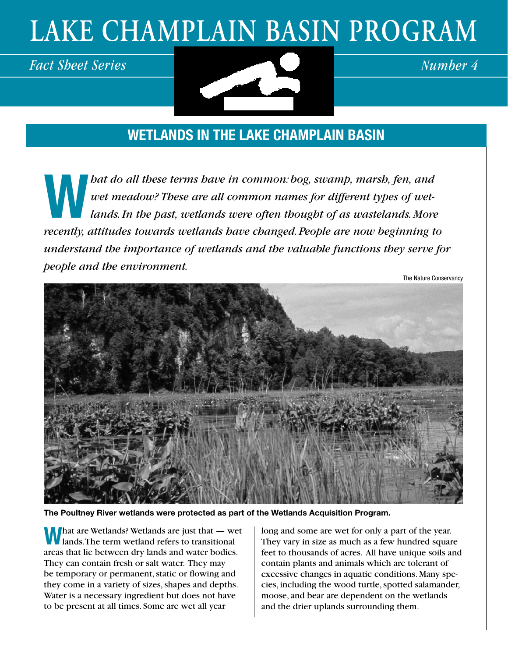# **LAKE CHAMPLAIN BASIN PROGRAM**



### **Wetlands in the Lake Champlain Basin**

**Weide these in the set of the common:** bog, swamp, marsh, fen, and wet meadow? These are all common names for different types of wet-<br>lands. In the past, wetlands were often thought of as wastelands. More *wet meadow? These are all common names for different types of wet*lands. In the past, wetlands were often thought of as wastelands. More *recently, attitudes towards wetlands have changed. People are now beginning to understand the importance of wetlands and the valuable functions they serve for people and the environment.*

The Nature Conservancy



**The Poultney River wetlands were protected as part of the Wetlands Acquisition Program.**

**W**hat are Wetlands? Wetlands are just that — wet lands. The term wetland refers to transitional areas that lie between dry lands and water bodies. They can contain fresh or salt water. They may be temporary or permanent, static or flowing and they come in a variety of sizes, shapes and depths. Water is a necessary ingredient but does not have to be present at all times. Some are wet all year

long and some are wet for only a part of the year. They vary in size as much as a few hundred square feet to thousands of acres. All have unique soils and contain plants and animals which are tolerant of excessive changes in aquatic conditions. Many species, including the wood turtle, spotted salamander, moose, and bear are dependent on the wetlands and the drier uplands surrounding them.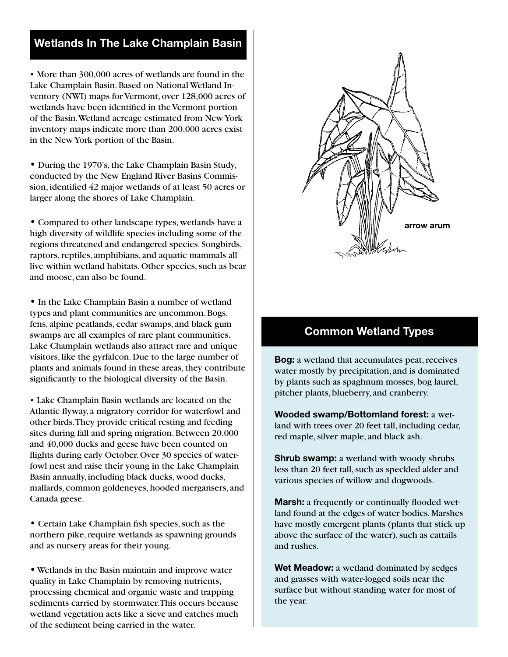#### **Wetlands In The Lake Champlain Basin**

• More than 300,000 acres of wetlands are found in the Lake Champlain Basin. Based on National Wetland Inventory (NWI) maps for Vermont, over 128,000 acres of wetlands have been identified in the Vermont portion of the Basin. Wetland acreage estimated from New York inventory maps indicate more than 200,000 acres exist in the New York portion of the Basin.

• During the 1970's, the Lake Champlain Basin Study, conducted by the New England River Basins Commission, identified 42 major wetlands of at least 50 acres or larger along the shores of Lake Champlain.

• Compared to other landscape types, wetlands have a high diversity of wildlife species including some of the regions threatened and endangered species. Songbirds, raptors, reptiles, amphibians, and aquatic mammals all live within wetland habitats. Other species, such as bear and moose, can also be found.

• In the Lake Champlain Basin a number of wetland types and plant communities are uncommon. Bogs, fens, alpine peatlands, cedar swamps, and black gum swamps are all examples of rare plant communities. Lake Champlain wetlands also attract rare and unique visitors, like the gyrfalcon. Due to the large number of plants and animals found in these areas, they contribute significantly to the biological diversity of the Basin.

• Lake Champlain Basin wetlands are located on the Atlantic flyway, a migratory corridor for waterfowl and other birds. They provide critical resting and feeding sites during fall and spring migration. Between 20,000 and 40,000 ducks and geese have been counted on flights during early October. Over 30 species of waterfowl nest and raise their young in the Lake Champlain Basin annually, including black ducks, wood ducks, mallards, common goldeneyes, hooded mergansers, and Canada geese.

• Certain Lake Champlain fish species, such as the northern pike, require wetlands as spawning grounds and as nursery areas for their young.

• Wetlands in the Basin maintain and improve water quality in Lake Champlain by removing nutrients, processing chemical and organic waste and trapping sediments carried by stormwater. This occurs because wetland vegetation acts like a sieve and catches much of the sediment being carried in the water.



#### **Common Wetland Types**

**Bog:** a wetland that accumulates peat, receives water mostly by precipitation, and is dominated by plants such as spaghnum mosses, bog laurel, pitcher plants, blueberry, and cranberry.

**Wooded swamp/Bottomland forest:** a wetland with trees over 20 feet tall, including cedar, red maple, silver maple, and black ash.

**Shrub swamp:** a wetland with woody shrubs less than 20 feet tall, such as speckled alder and various species of willow and dogwoods.

**Marsh:** a frequently or continually flooded wetland found at the edges of water bodies. Marshes have mostly emergent plants (plants that stick up above the surface of the water), such as cattails and rushes.

**Wet Meadow:** a wetland dominated by sedges and grasses with water-logged soils near the surface but without standing water for most of the year.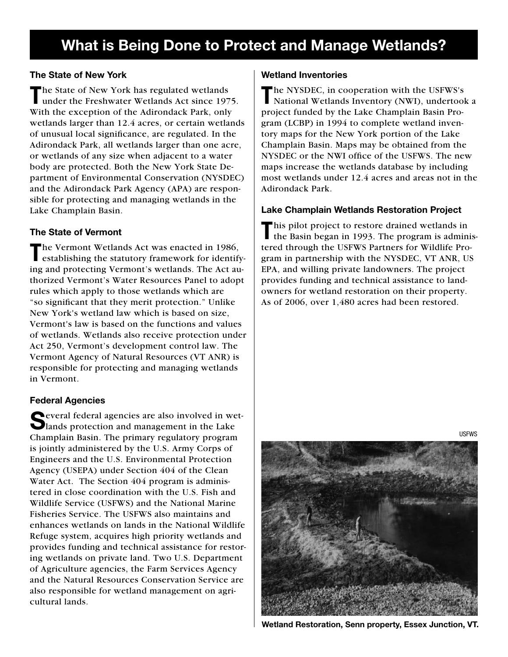### **What is Being Done to Protect and Manage Wetlands?**

#### **The State of New York**

The State of New York has regulated wetlands<br>
under the Freshwater Wetlands Act since 1975. With the exception of the Adirondack Park, only wetlands larger than 12.4 acres, or certain wetlands of unusual local significance, are regulated. In the Adirondack Park, all wetlands larger than one acre, or wetlands of any size when adjacent to a water body are protected. Both the New York State Department of Environmental Conservation (NYSDEC) and the Adirondack Park Agency (APA) are responsible for protecting and managing wetlands in the Lake Champlain Basin.

#### **The State of Vermont**

The Vermont Wetlands Act was enacted in 1986, establishing the statutory framework for identifying and protecting Vermont's wetlands. The Act authorized Vermont's Water Resources Panel to adopt rules which apply to those wetlands which are "so significant that they merit protection." Unlike New York's wetland law which is based on size, Vermont's law is based on the functions and values of wetlands. Wetlands also receive protection under Act 250, Vermont's development control law. The Vermont Agency of Natural Resources (VT ANR) is responsible for protecting and managing wetlands in Vermont.

#### **Federal Agencies**

Several federal agencies are also involved in wet-<br>lands protection and management in the Lake Champlain Basin. The primary regulatory program is jointly administered by the U.S. Army Corps of Engineers and the U.S. Environmental Protection Agency (USEPA) under Section 404 of the Clean Water Act. The Section 404 program is administered in close coordination with the U.S. Fish and Wildlife Service (USFWS) and the National Marine Fisheries Service. The USFWS also maintains and enhances wetlands on lands in the National Wildlife Refuge system, acquires high priority wetlands and provides funding and technical assistance for restoring wetlands on private land. Two U.S. Department of Agriculture agencies, the Farm Services Agency and the Natural Resources Conservation Service are also responsible for wetland management on agricultural lands.

#### **Wetland Inventories**

The NYSDEC, in cooperation with the USFWS's National Wetlands Inventory (NWI), undertook a project funded by the Lake Champlain Basin Program (LCBP) in 1994 to complete wetland inventory maps for the New York portion of the Lake Champlain Basin. Maps may be obtained from the NYSDEC or the NWI office of the USFWS. The new maps increase the wetlands database by including most wetlands under 12.4 acres and areas not in the Adirondack Park.

#### **Lake Champlain Wetlands Restoration Project**

This pilot project to restore drained wetlands in the Basin began in 1993. The program is administered through the USFWS Partners for Wildlife Program in partnership with the NYSDEC, VT ANR, US EPA, and willing private landowners. The project provides funding and technical assistance to landowners for wetland restoration on their property. As of 2006, over 1,480 acres had been restored.



**Wetland Restoration, Senn property, Essex Junction, VT.**

USFWS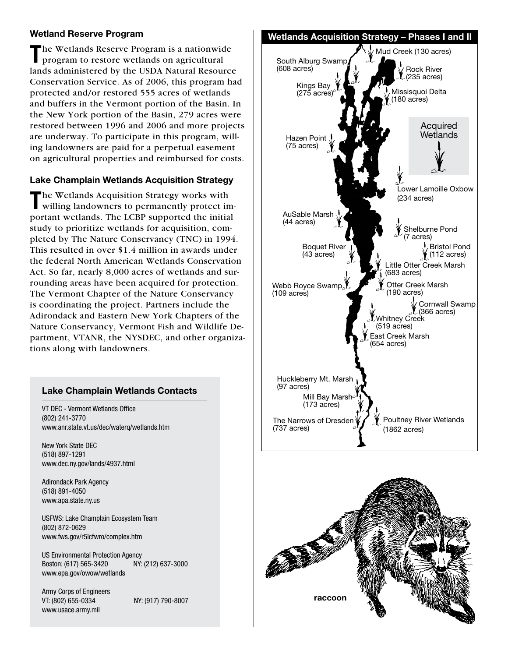**T**he Wetlands Reserve Program is a nationwide program to restore wetlands on agricultural lands administered by the USDA Natural Resource Conservation Service. As of 2006, this program had protected and/or restored 555 acres of wetlands and buffers in the Vermont portion of the Basin. In the New York portion of the Basin, 279 acres were restored between 1996 and 2006 and more projects are underway. To participate in this program, willing landowners are paid for a perpetual easement on agricultural properties and reimbursed for costs.

#### **Lake Champlain Wetlands Acquisition Strategy**

The Wetlands Acquisition Strategy works with willing landowners to permanently protect important wetlands. The LCBP supported the initial study to prioritize wetlands for acquisition, completed by The Nature Conservancy (TNC) in 1994. This resulted in over \$1.4 million in awards under the federal North American Wetlands Conservation Act. So far, nearly 8,000 acres of wetlands and surrounding areas have been acquired for protection. The Vermont Chapter of the Nature Conservancy is coordinating the project. Partners include the Adirondack and Eastern New York Chapters of the Nature Conservancy, Vermont Fish and Wildlife Department, VTANR, the NYSDEC, and other organizations along with landowners.

#### **Lake Champlain Wetlands Contacts**

VT DEC - Vermont Wetlands Office (802) 241-3770 www.anr.state.vt.us/dec/waterq/wetlands.htm

New York State DEC (518) 897-1291 www.dec.ny.gov/lands/4937.html

Adirondack Park Agency (518) 891-4050 www.apa.state.ny.us

USFWS: Lake Champlain Ecosystem Team (802) 872-0629 www.fws.gov/r5lcfwro/complex.htm

US Environmental Protection Agency Boston: (617) 565-3420 NY: (212) 637-3000 www.epa.gov/owow/wetlands

Army Corps of Engineers VT: (802) 655-0334 NY: (917) 790-8007 www.usace.army.mil



**raccoon**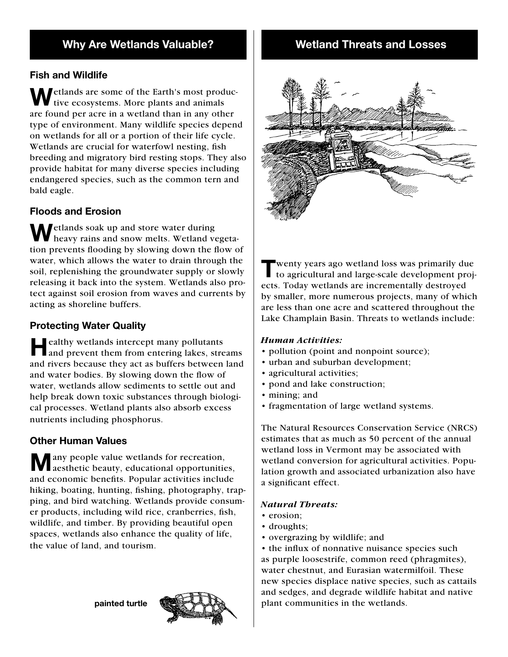#### **Fish and Wildlife**

*Metlands are some of the Earth's most produc*tive ecosystems. More plants and animals are found per acre in a wetland than in any other type of environment. Many wildlife species depend on wetlands for all or a portion of their life cycle. Wetlands are crucial for waterfowl nesting, fish breeding and migratory bird resting stops. They also provide habitat for many diverse species including endangered species, such as the common tern and bald eagle.

#### **Floods and Erosion**

Wetlands soak up and store water during<br>heavy rains and snow melts. Wetland vegetation prevents flooding by slowing down the flow of water, which allows the water to drain through the soil, replenishing the groundwater supply or slowly releasing it back into the system. Wetlands also protect against soil erosion from waves and currents by acting as shoreline buffers.

#### **Protecting Water Quality**

**Healthy wetlands intercept many pollutants** and prevent them from entering lakes, streams and rivers because they act as buffers between land and water bodies. By slowing down the flow of water, wetlands allow sediments to settle out and help break down toxic substances through biological processes. Wetland plants also absorb excess nutrients including phosphorus.

#### **Other Human Values**

**M** any people value wetlands for recreation, aesthetic beauty, educational opportunities, and economic benefits. Popular activities include hiking, boating, hunting, fishing, photography, trapping, and bird watching. Wetlands provide consumer products, including wild rice, cranberries, fish, wildlife, and timber. By providing beautiful open spaces, wetlands also enhance the quality of life, the value of land, and tourism.

**painted turtle**



#### **Wetland Threats and Losses**



**T**wenty years ago wetland loss was primarily due to agricultural and large-scale development projects. Today wetlands are incrementally destroyed by smaller, more numerous projects, many of which are less than one acre and scattered throughout the Lake Champlain Basin. Threats to wetlands include:

#### *Human Activities:*

- pollution (point and nonpoint source);
- urban and suburban development;
- agricultural activities;
- pond and lake construction;
- mining; and
- fragmentation of large wetland systems.

The Natural Resources Conservation Service (NRCS) estimates that as much as 50 percent of the annual wetland loss in Vermont may be associated with wetland conversion for agricultural activities. Population growth and associated urbanization also have a significant effect.

#### *Natural Threats:*

- erosion;
- droughts;
- overgrazing by wildlife; and

• the influx of nonnative nuisance species such as purple loosestrife, common reed (phragmites), water chestnut, and Eurasian watermilfoil. These new species displace native species, such as cattails and sedges, and degrade wildlife habitat and native plant communities in the wetlands.